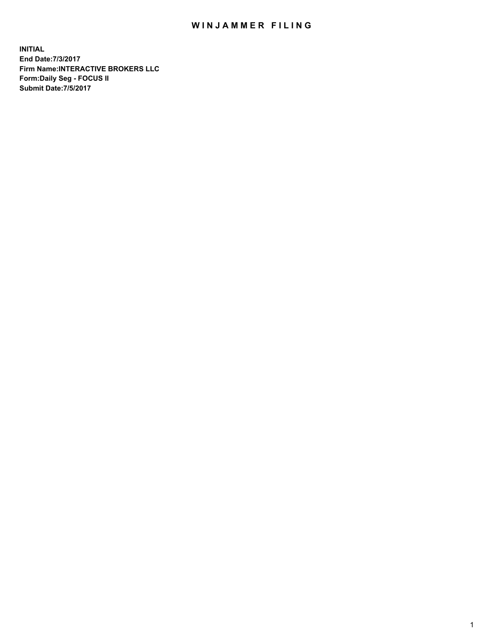## WIN JAMMER FILING

**INITIAL End Date:7/3/2017 Firm Name:INTERACTIVE BROKERS LLC Form:Daily Seg - FOCUS II Submit Date:7/5/2017**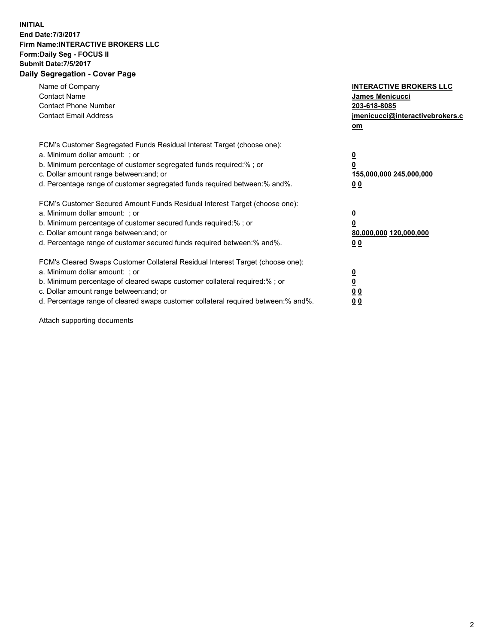## **INITIAL End Date:7/3/2017 Firm Name:INTERACTIVE BROKERS LLC Form:Daily Seg - FOCUS II Submit Date:7/5/2017 Daily Segregation - Cover Page**

| Name of Company<br><b>Contact Name</b><br><b>Contact Phone Number</b><br><b>Contact Email Address</b>                                                                                                                                                                                                                          | <b>INTERACTIVE BROKERS LLC</b><br>James Menicucci<br>203-618-8085<br>jmenicucci@interactivebrokers.c<br>om |
|--------------------------------------------------------------------------------------------------------------------------------------------------------------------------------------------------------------------------------------------------------------------------------------------------------------------------------|------------------------------------------------------------------------------------------------------------|
| FCM's Customer Segregated Funds Residual Interest Target (choose one):<br>a. Minimum dollar amount: ; or<br>b. Minimum percentage of customer segregated funds required:% ; or<br>c. Dollar amount range between: and; or<br>d. Percentage range of customer segregated funds required between:% and%.                         | $\overline{\mathbf{0}}$<br>0<br>155,000,000 245,000,000<br>0 <sub>0</sub>                                  |
| FCM's Customer Secured Amount Funds Residual Interest Target (choose one):<br>a. Minimum dollar amount: ; or<br>b. Minimum percentage of customer secured funds required:%; or<br>c. Dollar amount range between: and; or<br>d. Percentage range of customer secured funds required between: % and %.                          | $\overline{\mathbf{0}}$<br>0<br>80,000,000 120,000,000<br>0 <sub>0</sub>                                   |
| FCM's Cleared Swaps Customer Collateral Residual Interest Target (choose one):<br>a. Minimum dollar amount: ; or<br>b. Minimum percentage of cleared swaps customer collateral required:% ; or<br>c. Dollar amount range between: and; or<br>d. Percentage range of cleared swaps customer collateral required between:% and%. | $\overline{\mathbf{0}}$<br>$\overline{\mathbf{0}}$<br>0 <sub>0</sub><br>0 <sub>0</sub>                     |

Attach supporting documents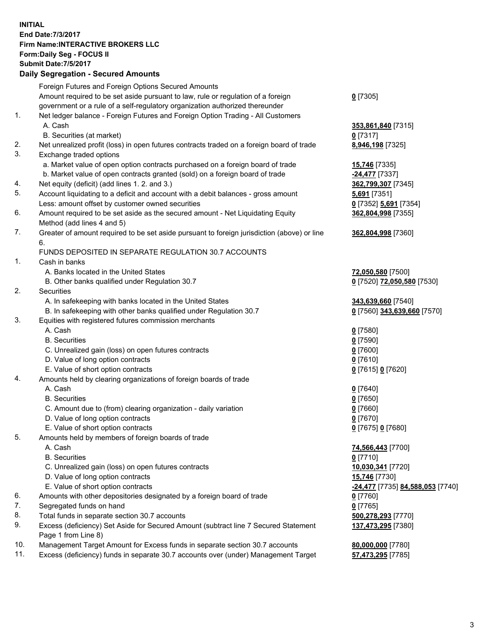## **INITIAL End Date:7/3/2017 Firm Name:INTERACTIVE BROKERS LLC Form:Daily Seg - FOCUS II Submit Date:7/5/2017 Daily Segregation - Secured Amounts**

|     | Foreign Futures and Foreign Options Secured Amounts                                         |                                  |
|-----|---------------------------------------------------------------------------------------------|----------------------------------|
|     | Amount required to be set aside pursuant to law, rule or regulation of a foreign            | $0$ [7305]                       |
|     | government or a rule of a self-regulatory organization authorized thereunder                |                                  |
| 1.  | Net ledger balance - Foreign Futures and Foreign Option Trading - All Customers             |                                  |
|     | A. Cash                                                                                     | 353,861,840 [7315]               |
|     | B. Securities (at market)                                                                   | $0$ [7317]                       |
| 2.  | Net unrealized profit (loss) in open futures contracts traded on a foreign board of trade   | 8,946,198 [7325]                 |
| 3.  | Exchange traded options                                                                     |                                  |
|     | a. Market value of open option contracts purchased on a foreign board of trade              | <b>15,746</b> [7335]             |
|     | b. Market value of open contracts granted (sold) on a foreign board of trade                | $-24,477$ [7337]                 |
| 4.  | Net equity (deficit) (add lines 1.2. and 3.)                                                | 362,799,307 [7345]               |
| 5.  | Account liquidating to a deficit and account with a debit balances - gross amount           | 5,691 [7351]                     |
|     | Less: amount offset by customer owned securities                                            |                                  |
| 6.  |                                                                                             | 0 [7352] 5,691 [7354]            |
|     | Amount required to be set aside as the secured amount - Net Liquidating Equity              | 362,804,998 [7355]               |
|     | Method (add lines 4 and 5)                                                                  |                                  |
| 7.  | Greater of amount required to be set aside pursuant to foreign jurisdiction (above) or line | 362,804,998 [7360]               |
|     | 6.                                                                                          |                                  |
|     | FUNDS DEPOSITED IN SEPARATE REGULATION 30.7 ACCOUNTS                                        |                                  |
| 1.  | Cash in banks                                                                               |                                  |
|     | A. Banks located in the United States                                                       | 72,050,580 [7500]                |
|     | B. Other banks qualified under Regulation 30.7                                              | 0 [7520] 72,050,580 [7530]       |
| 2.  | Securities                                                                                  |                                  |
|     | A. In safekeeping with banks located in the United States                                   | 343,639,660 [7540]               |
|     | B. In safekeeping with other banks qualified under Regulation 30.7                          | 0 [7560] 343,639,660 [7570]      |
| 3.  | Equities with registered futures commission merchants                                       |                                  |
|     | A. Cash                                                                                     | $0$ [7580]                       |
|     | <b>B.</b> Securities                                                                        | $0$ [7590]                       |
|     | C. Unrealized gain (loss) on open futures contracts                                         | $0$ [7600]                       |
|     | D. Value of long option contracts                                                           | $0$ [7610]                       |
|     | E. Value of short option contracts                                                          | 0 [7615] 0 [7620]                |
| 4.  | Amounts held by clearing organizations of foreign boards of trade                           |                                  |
|     | A. Cash                                                                                     | $0$ [7640]                       |
|     | <b>B.</b> Securities                                                                        | $0$ [7650]                       |
|     | C. Amount due to (from) clearing organization - daily variation                             | $0$ [7660]                       |
|     | D. Value of long option contracts                                                           | $0$ [7670]                       |
|     | E. Value of short option contracts                                                          | 0 [7675] 0 [7680]                |
| 5.  | Amounts held by members of foreign boards of trade                                          |                                  |
|     | A. Cash                                                                                     | 74,566,443 [7700]                |
|     | <b>B.</b> Securities                                                                        | $0$ [7710]                       |
|     | C. Unrealized gain (loss) on open futures contracts                                         | 10,030,341 [7720]                |
|     | D. Value of long option contracts                                                           | 15,746 [7730]                    |
|     | E. Value of short option contracts                                                          | -24,477 [7735] 84,588,053 [7740] |
| 6.  | Amounts with other depositories designated by a foreign board of trade                      | $0$ [7760]                       |
| 7.  | Segregated funds on hand                                                                    | $0$ [7765]                       |
| 8.  | Total funds in separate section 30.7 accounts                                               | 500,278,293 [7770]               |
| 9.  | Excess (deficiency) Set Aside for Secured Amount (subtract line 7 Secured Statement         | 137,473,295 [7380]               |
|     | Page 1 from Line 8)                                                                         |                                  |
| 10. | Management Target Amount for Excess funds in separate section 30.7 accounts                 | 80,000,000 [7780]                |
| 11. | Excess (deficiency) funds in separate 30.7 accounts over (under) Management Target          | 57,473,295 [7785]                |
|     |                                                                                             |                                  |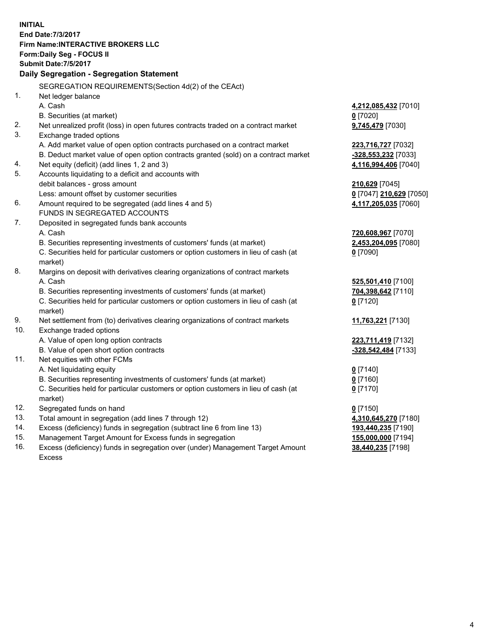**INITIAL End Date:7/3/2017 Firm Name:INTERACTIVE BROKERS LLC Form:Daily Seg - FOCUS II Submit Date:7/5/2017 Daily Segregation - Segregation Statement** SEGREGATION REQUIREMENTS(Section 4d(2) of the CEAct) 1. Net ledger balance A. Cash **4,212,085,432** [7010] B. Securities (at market) **0** [7020] 2. Net unrealized profit (loss) in open futures contracts traded on a contract market **9,745,479** [7030] 3. Exchange traded options A. Add market value of open option contracts purchased on a contract market **223,716,727** [7032] B. Deduct market value of open option contracts granted (sold) on a contract market **-328,553,232** [7033] 4. Net equity (deficit) (add lines 1, 2 and 3) **4,116,994,406** [7040] 5. Accounts liquidating to a deficit and accounts with debit balances - gross amount **210,629** [7045] Less: amount offset by customer securities **0** [7047] **210,629** [7050] 6. Amount required to be segregated (add lines 4 and 5) **4,117,205,035** [7060] FUNDS IN SEGREGATED ACCOUNTS 7. Deposited in segregated funds bank accounts A. Cash **720,608,967** [7070] B. Securities representing investments of customers' funds (at market) **2,453,204,095** [7080] C. Securities held for particular customers or option customers in lieu of cash (at market) **0** [7090] 8. Margins on deposit with derivatives clearing organizations of contract markets A. Cash **525,501,410** [7100] B. Securities representing investments of customers' funds (at market) **704,398,642** [7110] C. Securities held for particular customers or option customers in lieu of cash (at market) **0** [7120] 9. Net settlement from (to) derivatives clearing organizations of contract markets **11,763,221** [7130] 10. Exchange traded options A. Value of open long option contracts **223,711,419** [7132] B. Value of open short option contracts **-328,542,484** [7133] 11. Net equities with other FCMs A. Net liquidating equity **0** [7140] B. Securities representing investments of customers' funds (at market) **0** [7160] C. Securities held for particular customers or option customers in lieu of cash (at market) **0** [7170] 12. Segregated funds on hand **0** [7150] 13. Total amount in segregation (add lines 7 through 12) **4,310,645,270** [7180] 14. Excess (deficiency) funds in segregation (subtract line 6 from line 13) **193,440,235** [7190] 15. Management Target Amount for Excess funds in segregation **155,000,000** [7194]

16. Excess (deficiency) funds in segregation over (under) Management Target Amount Excess

**38,440,235** [7198]